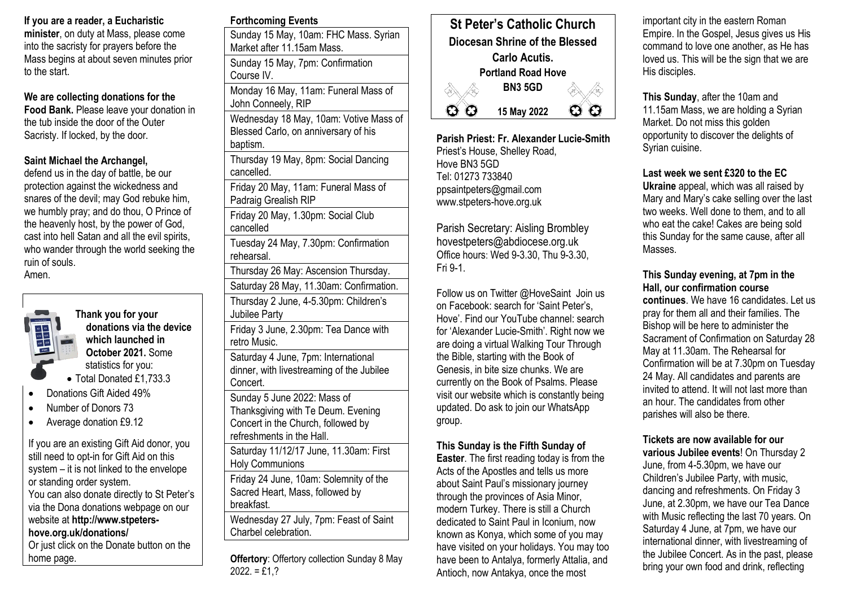# **If you are a reader, a Eucharistic**

**minister**, on duty at Mass, please come into the sacristy for prayers before the Mass begins at about seven minutes prior to the start.

**We are collecting donations for the Food Bank.** Please leave your donation in the tub inside the door of the Outer Sacristy. If locked, by the door.

## **Saint Michael the Archangel,**

defend us in the day of battle, be our protection against the wickedness and snares of the devil; may God rebuke him, we humbly pray; and do thou, O Prince of the heavenly host, by the power of God, cast into hell Satan and all the evil spirits, who wander through the world seeking the ruin of souls. Amen.



**Thank you for your donations via the device which launched in October 2021.** Some statistics for you:

- Total Donated £1,733.3
- Donations Gift Aided 49%
- Number of Donors 73
- Average donation £9.12

If you are an existing Gift Aid donor, you still need to opt-in for Gift Aid on this system – it is not linked to the envelope or standing order system. You can also donate directly to St Peter's via the Dona donations webpage on our website at **http://www.stpetershove.org.uk/donations/** Or just click on the Donate button on the home page.

|--|

Sunday 15 May, 10am: FHC Mass. Syrian Market after 11.15am Mass. Sunday 15 May, 7pm: Confirmation Course IV. Monday 16 May, 11am: Funeral Mass of John Conneely, RIP Wednesday 18 May, 10am: Votive Mass of Blessed Carlo, on anniversary of his baptism. Thursday 19 May, 8pm: Social Dancing cancelled. Friday 20 May, 11am: Funeral Mass of Padraig Grealish RIP Friday 20 May, 1.30pm: Social Club cancelled Tuesday 24 May, 7.30pm: Confirmation rehearsal. Thursday 26 May: Ascension Thursday. Saturday 28 May, 11.30am: Confirmation. Thursday 2 June, 4-5.30pm: Children's Jubilee Party Friday 3 June, 2.30pm: Tea Dance with retro Music. Saturday 4 June, 7pm: International dinner, with livestreaming of the Jubilee Concert. Sunday 5 June 2022: Mass of Thanksgiving with Te Deum. Evening Concert in the Church, followed by refreshments in the Hall. Saturday 11/12/17 June, 11.30am: First Holy Communions Friday 24 June, 10am: Solemnity of the Sacred Heart, Mass, followed by breakfast. Wednesday 27 July, 7pm: Feast of Saint Charbel celebration. **Offertory**: Offertory collection Sunday 8 May

 $2022. = £1.?$ 



**Parish Priest: Fr. Alexander Lucie-Smith** Priest's House, Shelley Road, Hove BN3 5GD Tel: 01273 733840 ppsaintpeters@gmail.com www.stpeters-hove.org.uk

Parish Secretary: Aisling Brombley hovestpeters@abdiocese.org.uk Office hours: Wed 9-3.30, Thu 9-3.30, Fri 9-1.

Follow us on Twitter @HoveSaint Join us on Facebook: search for 'Saint Peter's, Hove'. Find our YouTube channel: search for 'Alexander Lucie-Smith'. Right now we are doing a virtual Walking Tour Through the Bible, starting with the Book of Genesis, in bite size chunks. We are currently on the Book of Psalms. Please visit our website which is constantly being updated. Do ask to join our WhatsApp group.

## **This Sunday is the Fifth Sunday of**

**Easter**. The first reading today is from the Acts of the Apostles and tells us more about Saint Paul's missionary journey through the provinces of Asia Minor, modern Turkey. There is still a Church dedicated to Saint Paul in Iconium, now known as Konya, which some of you may have visited on your holidays. You may too have been to Antalya, formerly Attalia, and Antioch, now Antakya, once the most

important city in the eastern Roman Empire. In the Gospel, Jesus gives us His command to love one another, as He has loved us. This will be the sign that we are His disciples.

**This Sunday**, after the 10am and 11.15am Mass, we are holding a Syrian Market. Do not miss this golden opportunity to discover the delights of Syrian cuisine.

**Last week we sent £320 to the EC** 

**Ukraine** appeal, which was all raised by Mary and Mary's cake selling over the last two weeks. Well done to them, and to all who eat the cake! Cakes are being sold this Sunday for the same cause, after all Masses.

#### **This Sunday evening, at 7pm in the Hall, our confirmation course**

**continues**. We have 16 candidates. Let us pray for them all and their families. The Bishop will be here to administer the Sacrament of Confirmation on Saturday 28 May at 11.30am. The Rehearsal for Confirmation will be at 7.30pm on Tuesday 24 May. All candidates and parents are invited to attend. It will not last more than an hour. The candidates from other parishes will also be there.

#### **Tickets are now available for our various Jubilee events**! On Thursday 2 June, from 4-5.30pm, we have our Children's Jubilee Party, with music, dancing and refreshments. On Friday 3 June, at 2.30pm, we have our Tea Dance with Music reflecting the last 70 years. On Saturday 4 June, at 7pm, we have our international dinner, with livestreaming of the Jubilee Concert. As in the past, please bring your own food and drink, reflecting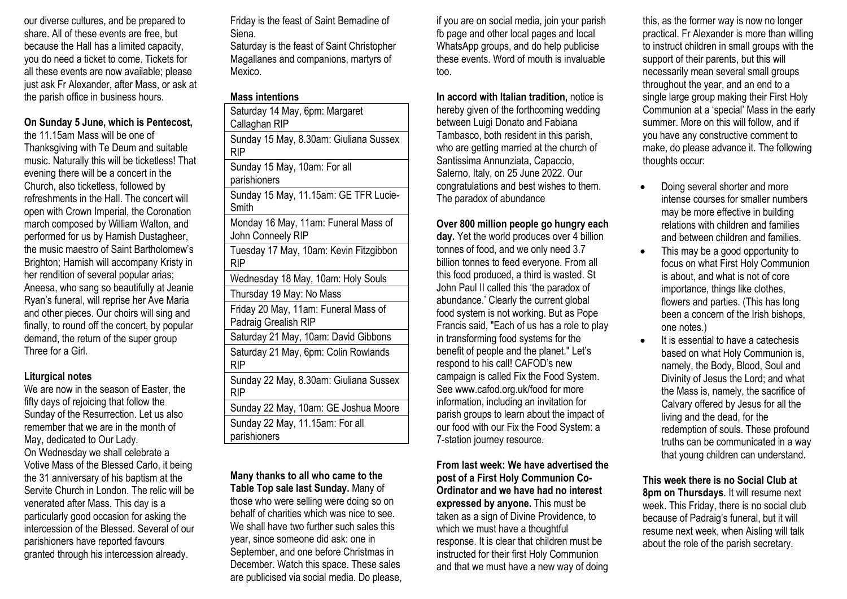our diverse cultures, and be prepared to share. All of these events are free, but because the Hall has a limited capacity, you do need a ticket to come. Tickets for all these events are now available; please just ask Fr Alexander, after Mass, or ask at the parish office in business hours.

#### **On Sunday 5 June, which is Pentecost,**

the 11.15am Mass will be one of Thanksgiving with Te Deum and suitable music. Naturally this will be ticketless! That evening there will be a concert in the Church, also ticketless, followed by refreshments in the Hall. The concert will open with Crown Imperial, the Coronation march composed by William Walton, and performed for us by Hamish Dustagheer, the music maestro of Saint Bartholomew's Brighton; Hamish will accompany Kristy in her rendition of several popular arias; Aneesa, who sang so beautifully at Jeanie Ryan's funeral, will reprise her Ave Maria and other pieces. Our choirs will sing and finally, to round off the concert, by popular demand, the return of the super group Three for a Girl.

#### **Liturgical notes**

We are now in the season of Easter, the fifty days of rejoicing that follow the Sunday of the Resurrection. Let us also remember that we are in the month of May, dedicated to Our Lady. On Wednesday we shall celebrate a Votive Mass of the Blessed Carlo, it being the 31 anniversary of his baptism at the Servite Church in London. The relic will be venerated after Mass. This day is a particularly good occasion for asking the intercession of the Blessed. Several of our parishioners have reported favours granted through his intercession already.

Friday is the feast of Saint Bernadine of Siena.

Saturday is the feast of Saint Christopher Magallanes and companions, martyrs of Mexico.

## **Mass intentions**

| ושווויטווושטוווו                                             |
|--------------------------------------------------------------|
| Saturday 14 May, 6pm: Margaret<br>Callaghan RIP              |
| Sunday 15 May, 8.30am: Giuliana Sussex<br><b>RIP</b>         |
| Sunday 15 May, 10am: For all<br>parishioners                 |
| Sunday 15 May, 11.15am: GE TFR Lucie-<br>Smith               |
| Monday 16 May, 11am: Funeral Mass of<br>John Conneely RIP    |
| Tuesday 17 May, 10am: Kevin Fitzgibbon<br>RIP                |
| Wednesday 18 May, 10am: Holy Souls                           |
| Thursday 19 May: No Mass                                     |
| Friday 20 May, 11am: Funeral Mass of<br>Padraig Grealish RIP |
| Saturday 21 May, 10am: David Gibbons                         |
| Saturday 21 May, 6pm: Colin Rowlands<br><b>RIP</b>           |
| Sunday 22 May, 8.30am: Giuliana Sussex<br><b>RIP</b>         |
| Sunday 22 May, 10am: GE Joshua Moore                         |
| Sunday 22 May, 11.15am: For all<br>parishioners              |

**Many thanks to all who came to the Table Top sale last Sunday.** Many of those who were selling were doing so on behalf of charities which was nice to see. We shall have two further such sales this year, since someone did ask: one in September, and one before Christmas in December. Watch this space. These sales are publicised via social media. Do please, if you are on social media, join your parish fb page and other local pages and local WhatsApp groups, and do help publicise these events. Word of mouth is invaluable too.

**In accord with Italian tradition,** notice is hereby given of the forthcoming wedding between Luigi Donato and Fabiana Tambasco, both resident in this parish, who are getting married at the church of Santissima Annunziata, Capaccio, Salerno, Italy, on 25 June 2022. Our congratulations and best wishes to them. The paradox of abundance

#### **Over 800 million people go hungry each**

**day.** Yet the world produces over 4 billion tonnes of food, and we only need 3.7 billion tonnes to feed everyone. From all this food produced, a third is wasted. St John Paul II called this 'the paradox of abundance.' Clearly the current global food system is not working. But as Pope Francis said, "Each of us has a role to play in transforming food systems for the benefit of people and the planet." Let's respond to his call! CAFOD's new campaign is called Fix the Food System. See www.cafod.org.uk/food for more information, including an invitation for parish groups to learn about the impact of our food with our Fix the Food System: a 7-station journey resource.

**From last week: We have advertised the post of a First Holy Communion Co-Ordinator and we have had no interest expressed by anyone.** This must be taken as a sign of Divine Providence, to which we must have a thoughtful response. It is clear that children must be instructed for their first Holy Communion and that we must have a new way of doing

this, as the former way is now no longer practical. Fr Alexander is more than willing to instruct children in small groups with the support of their parents, but this will necessarily mean several small groups throughout the year, and an end to a single large group making their First Holy Communion at a 'special' Mass in the early summer. More on this will follow, and if you have any constructive comment to make, do please advance it. The following thoughts occur:

- Doing several shorter and more intense courses for smaller numbers may be more effective in building relations with children and families and between children and families.
- This may be a good opportunity to focus on what First Holy Communion is about, and what is not of core importance, things like clothes, flowers and parties. (This has long been a concern of the Irish bishops, one notes.)
	- It is essential to have a catechesis based on what Holy Communion is, namely, the Body, Blood, Soul and Divinity of Jesus the Lord; and what the Mass is, namely, the sacrifice of Calvary offered by Jesus for all the living and the dead, for the redemption of souls. These profound truths can be communicated in a way that young children can understand.

**This week there is no Social Club at 8pm on Thursdays**. It will resume next week. This Friday, there is no social club because of Padraig's funeral, but it will resume next week, when Aisling will talk about the role of the parish secretary.